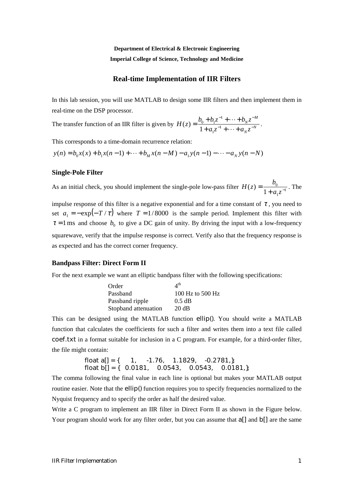**Department of Electrical & Electronic Engineering Imperial College of Science, Technology and Medicine** 

# **Real-time Implementation of IIR Filters**

In this lab session, you will use MATLAB to design some IIR filters and then implement them in real-time on the DSP processor.

The transfer function of an IIR filter is given by  $H(z) = \frac{\partial u}{\partial x} + \frac{\partial u}{\partial y} + \frac{\partial u}{\partial z} + \frac{\partial u}{\partial x}$ *N M N*  $H(z) = \frac{b_0 + b_1 z^{-1} + \dots + b_N z^{-1}}{1 + a_1 z^{-1} + \dots + a_N z^{-1}}$  $= \frac{b_0 + b_1 z^{-1} + \dots +}{1 + a_1 z^{-1} + \dots +}$ 1 1 1  $(z) = \frac{b_0 + b_1 z}{1 + a_1 z^{-1} + \dots + a_N z^{-N}}$ .

This corresponds to a time-domain recurrence relation:

 $y(n) = b_0 x(x) + b_1 x(n-1) + \cdots + b_M x(n-M) - a_1 y(n-1) - \cdots - a_N y(n-N)$ 

### **Single-Pole Filter**

As an initial check, you should implement the single-pole low-pass filter  $H(z) = \frac{z_0}{1+z_0^2}$ 1  $H(z) = \frac{b_0}{1 + a_1 z^{-1}}$ . The

impulse response of this filter is a negative exponential and for a time constant of  $\tau$ , you need to set  $a_1 = -\exp(-T/\tau)$  where  $T = 1/8000$  is the sample period. Implement this filter with  $\tau = 1$  ms and choose  $b_0$  to give a DC gain of unity. By driving the input with a low-frequency squarewave, verify that the impulse response is correct. Verify also that the frequency response is as expected and has the correct corner frequency.

## **Bandpass Filter: Direct Form II**

For the next example we want an elliptic bandpass filter with the following specifications:

| Order                | $4^{\rm th}$       |
|----------------------|--------------------|
| Passband             | $100$ Hz to 500 Hz |
| Passband ripple      | $0.5$ dB           |
| Stopband attenuation | 20 dB              |

This can be designed using the MATLAB function ellip(). You should write a MATLAB function that calculates the coefficients for such a filter and writes them into a text file called coef.txt in a format suitable for inclusion in a C program. For example, for a third-order filter, the file might contain:

> float  $a[] = \{ 1, -1.76, 1.1829, -0.2781, \}$ ; float  $b[] = \{ 0.0181, 0.0543, 0.0543, 0.0181 \}$ ;

The comma following the final value in each line is optional but makes your MATLAB output routine easier. Note that the ellip() function requires you to specify frequencies normalized to the Nyquist frequency and to specify the order as half the desired value.

Write a C program to implement an IIR filter in Direct Form II as shown in the Figure below. Your program should work for any filter order, but you can assume that a<sup>[]</sup> and  $\mathcal{D}$ [] are the same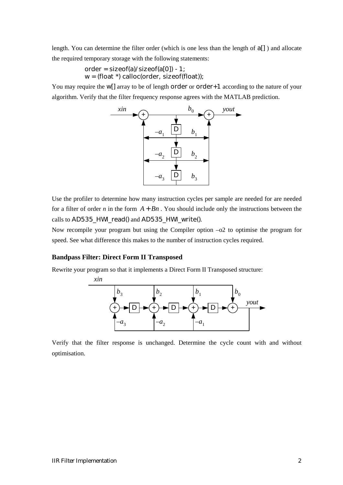length. You can determine the filter order (which is one less than the length of a[] ) and allocate the required temporary storage with the following statements:

> order =  $sizeof(a)/sizeof(a[0]) - 1$ ;  $w = (float * ) calloc(order, sizeof(float))$ ;

You may require the W[] array to be of length order or order +1 according to the nature of your algorithm. Verify that the filter frequency response agrees with the MATLAB prediction.



Use the profiler to determine how many instruction cycles per sample are needed for are needed for a filter of order *n* in the form  $A + Bn$ . You should include only the instructions between the calls to AD535\_HWI\_read() and AD535\_HWI\_write().

Now recompile your program but using the Compiler option  $-0$  to optimise the program for speed. See what difference this makes to the number of instruction cycles required.

### **Bandpass Filter: Direct Form II Transposed**

Rewrite your program so that it implements a Direct Form II Transposed structure:



Verify that the filter response is unchanged. Determine the cycle count with and without optimisation.